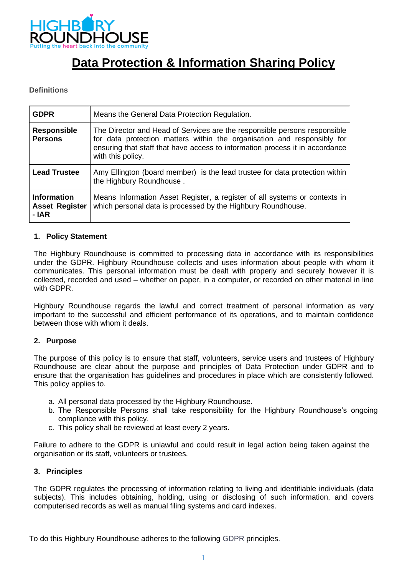

# **Data Protection & Information Sharing Policy**

## **Definitions**

| <b>GDPR</b>                                          | Means the General Data Protection Regulation.                                                                                                                                                                                                             |
|------------------------------------------------------|-----------------------------------------------------------------------------------------------------------------------------------------------------------------------------------------------------------------------------------------------------------|
| <b>Responsible</b><br><b>Persons</b>                 | The Director and Head of Services are the responsible persons responsible<br>for data protection matters within the organisation and responsibly for<br>ensuring that staff that have access to information process it in accordance<br>with this policy. |
| <b>Lead Trustee</b>                                  | Amy Ellington (board member) is the lead trustee for data protection within<br>the Highbury Roundhouse.                                                                                                                                                   |
| <b>Information</b><br><b>Asset Register</b><br>- IAR | Means Information Asset Register, a register of all systems or contexts in<br>which personal data is processed by the Highbury Roundhouse.                                                                                                                |

#### **1. Policy Statement**

The Highbury Roundhouse is committed to processing data in accordance with its responsibilities under the GDPR. Highbury Roundhouse collects and uses information about people with whom it communicates. This personal information must be dealt with properly and securely however it is collected, recorded and used – whether on paper, in a computer, or recorded on other material in line with GDPR.

Highbury Roundhouse regards the lawful and correct treatment of personal information as very important to the successful and efficient performance of its operations, and to maintain confidence between those with whom it deals.

## **2. Purpose**

The purpose of this policy is to ensure that staff, volunteers, service users and trustees of Highbury Roundhouse are clear about the purpose and principles of Data Protection under GDPR and to ensure that the organisation has guidelines and procedures in place which are consistently followed. This policy applies to.

- a. All personal data processed by the Highbury Roundhouse.
- b. The Responsible Persons shall take responsibility for the Highbury Roundhouse's ongoing compliance with this policy.
- c. This policy shall be reviewed at least every 2 years.

Failure to adhere to the GDPR is unlawful and could result in legal action being taken against the organisation or its staff, volunteers or trustees.

#### **3. Principles**

The GDPR regulates the processing of information relating to living and identifiable individuals (data subjects). This includes obtaining, holding, using or disclosing of such information, and covers computerised records as well as manual filing systems and card indexes.

To do this Highbury Roundhouse adheres to the following GDPR principles.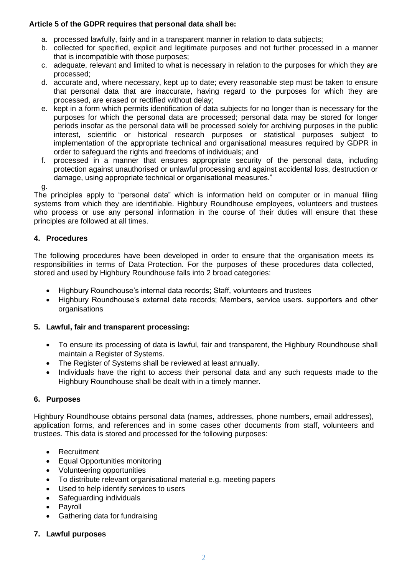# **Article 5 of the GDPR requires that personal data shall be:**

- a. processed lawfully, fairly and in a transparent manner in relation to data subjects;
- b. collected for specified, explicit and legitimate purposes and not further processed in a manner that is incompatible with those purposes;
- c. adequate, relevant and limited to what is necessary in relation to the purposes for which they are processed;
- d. accurate and, where necessary, kept up to date; every reasonable step must be taken to ensure that personal data that are inaccurate, having regard to the purposes for which they are processed, are erased or rectified without delay;
- e. kept in a form which permits identification of data subjects for no longer than is necessary for the purposes for which the personal data are processed; personal data may be stored for longer periods insofar as the personal data will be processed solely for archiving purposes in the public interest, scientific or historical research purposes or statistical purposes subject to implementation of the appropriate technical and organisational measures required by GDPR in order to safeguard the rights and freedoms of individuals; and
- f. processed in a manner that ensures appropriate security of the personal data, including protection against unauthorised or unlawful processing and against accidental loss, destruction or damage, using appropriate technical or organisational measures."

g.

The principles apply to "personal data" which is information held on computer or in manual filing systems from which they are identifiable. Highbury Roundhouse employees, volunteers and trustees who process or use any personal information in the course of their duties will ensure that these principles are followed at all times.

# **4. Procedures**

The following procedures have been developed in order to ensure that the organisation meets its responsibilities in terms of Data Protection. For the purposes of these procedures data collected, stored and used by Highbury Roundhouse falls into 2 broad categories:

- Highbury Roundhouse's internal data records; Staff, volunteers and trustees
- Highbury Roundhouse's external data records; Members, service users. supporters and other organisations

# **5. Lawful, fair and transparent processing:**

- To ensure its processing of data is lawful, fair and transparent, the Highbury Roundhouse shall maintain a Register of Systems.
- The Register of Systems shall be reviewed at least annually.
- Individuals have the right to access their personal data and any such requests made to the Highbury Roundhouse shall be dealt with in a timely manner.

# **6. Purposes**

Highbury Roundhouse obtains personal data (names, addresses, phone numbers, email addresses), application forms, and references and in some cases other documents from staff, volunteers and trustees. This data is stored and processed for the following purposes:

- Recruitment
- Equal Opportunities monitoring
- Volunteering opportunities
- To distribute relevant organisational material e.g. meeting papers
- Used to help identify services to users
- Safeguarding individuals
- **Payroll**
- Gathering data for fundraising
- **7. Lawful purposes**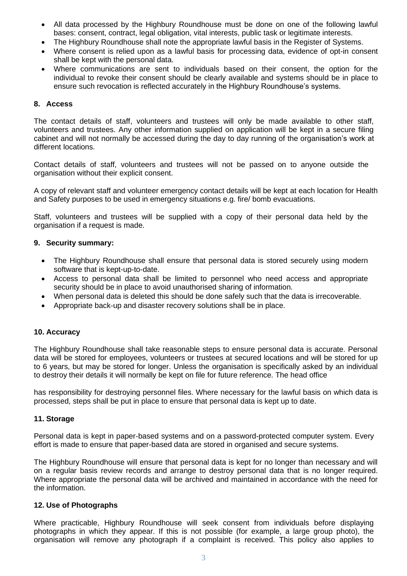- All data processed by the Highbury Roundhouse must be done on one of the following lawful bases: consent, contract, legal obligation, vital interests, public task or legitimate interests.
- The Highbury Roundhouse shall note the appropriate lawful basis in the Register of Systems.
- Where consent is relied upon as a lawful basis for processing data, evidence of opt-in consent shall be kept with the personal data.
- Where communications are sent to individuals based on their consent, the option for the individual to revoke their consent should be clearly available and systems should be in place to ensure such revocation is reflected accurately in the Highbury Roundhouse's systems.

#### **8. Access**

The contact details of staff, volunteers and trustees will only be made available to other staff, volunteers and trustees. Any other information supplied on application will be kept in a secure filing cabinet and will not normally be accessed during the day to day running of the organisation's work at different locations.

Contact details of staff, volunteers and trustees will not be passed on to anyone outside the organisation without their explicit consent.

A copy of relevant staff and volunteer emergency contact details will be kept at each location for Health and Safety purposes to be used in emergency situations e.g. fire/ bomb evacuations.

Staff, volunteers and trustees will be supplied with a copy of their personal data held by the organisation if a request is made.

## **9. Security summary:**

- The Highbury Roundhouse shall ensure that personal data is stored securely using modern software that is kept-up-to-date.
- Access to personal data shall be limited to personnel who need access and appropriate security should be in place to avoid unauthorised sharing of information.
- When personal data is deleted this should be done safely such that the data is irrecoverable.
- Appropriate back-up and disaster recovery solutions shall be in place.

#### **10. Accuracy**

The Highbury Roundhouse shall take reasonable steps to ensure personal data is accurate. Personal data will be stored for employees, volunteers or trustees at secured locations and will be stored for up to 6 years, but may be stored for longer. Unless the organisation is specifically asked by an individual to destroy their details it will normally be kept on file for future reference. The head office

has responsibility for destroying personnel files. Where necessary for the lawful basis on which data is processed, steps shall be put in place to ensure that personal data is kept up to date.

#### **11. Storage**

Personal data is kept in paper-based systems and on a password-protected computer system. Every effort is made to ensure that paper-based data are stored in organised and secure systems.

The Highbury Roundhouse will ensure that personal data is kept for no longer than necessary and will on a regular basis review records and arrange to destroy personal data that is no longer required. Where appropriate the personal data will be archived and maintained in accordance with the need for the information.

#### **12. Use of Photographs**

Where practicable, Highbury Roundhouse will seek consent from individuals before displaying photographs in which they appear. If this is not possible (for example, a large group photo), the organisation will remove any photograph if a complaint is received. This policy also applies to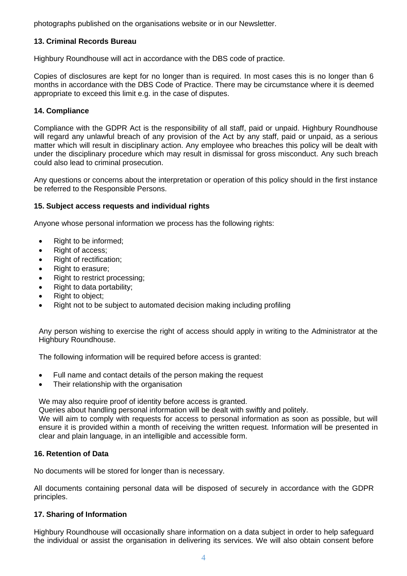photographs published on the organisations website or in our Newsletter.

# **13. Criminal Records Bureau**

Highbury Roundhouse will act in accordance with the DBS code of practice.

Copies of disclosures are kept for no longer than is required. In most cases this is no longer than 6 months in accordance with the DBS Code of Practice. There may be circumstance where it is deemed appropriate to exceed this limit e.g. in the case of disputes.

# **14. Compliance**

Compliance with the GDPR Act is the responsibility of all staff, paid or unpaid. Highbury Roundhouse will regard any unlawful breach of any provision of the Act by any staff, paid or unpaid, as a serious matter which will result in disciplinary action. Any employee who breaches this policy will be dealt with under the disciplinary procedure which may result in dismissal for gross misconduct. Any such breach could also lead to criminal prosecution.

Any questions or concerns about the interpretation or operation of this policy should in the first instance be referred to the Responsible Persons.

## **15. Subject access requests and individual rights**

Anyone whose personal information we process has the following rights:

- Right to be informed;
- Right of access;
- Right of rectification;
- Right to erasure;
- Right to restrict processing;
- Right to data portability;
- Right to object;
- Right not to be subject to automated decision making including profiling

Any person wishing to exercise the right of access should apply in writing to the Administrator at the Highbury Roundhouse.

The following information will be required before access is granted:

- Full name and contact details of the person making the request
- Their relationship with the organisation

We may also require proof of identity before access is granted.

Queries about handling personal information will be dealt with swiftly and politely.

We will aim to comply with requests for access to personal information as soon as possible, but will ensure it is provided within a month of receiving the written request. Information will be presented in clear and plain language, in an intelligible and accessible form.

## **16. Retention of Data**

No documents will be stored for longer than is necessary.

All documents containing personal data will be disposed of securely in accordance with the GDPR principles.

## **17. Sharing of Information**

Highbury Roundhouse will occasionally share information on a data subject in order to help safeguard the individual or assist the organisation in delivering its services. We will also obtain consent before